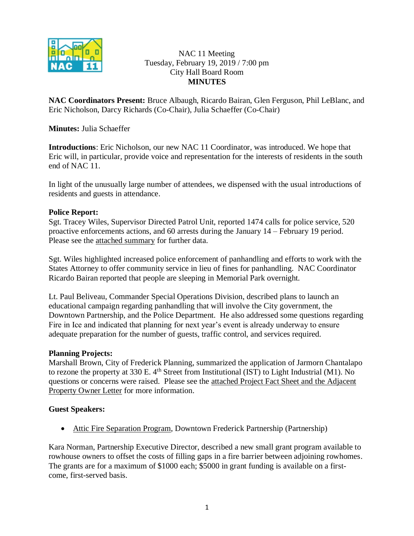

NAC 11 Meeting Tuesday, February 19, 2019 / 7:00 pm City Hall Board Room **MINUTES**

**NAC Coordinators Present:** Bruce Albaugh, Ricardo Bairan, Glen Ferguson, Phil LeBlanc, and Eric Nicholson, Darcy Richards (Co-Chair), Julia Schaeffer (Co-Chair)

**Minutes:** Julia Schaeffer

**Introductions**: Eric Nicholson, our new NAC 11 Coordinator, was introduced. We hope that Eric will, in particular, provide voice and representation for the interests of residents in the south end of NAC 11.

In light of the unusually large number of attendees, we dispensed with the usual introductions of residents and guests in attendance.

# **Police Report:**

Sgt. Tracey Wiles, Supervisor Directed Patrol Unit, reported 1474 calls for police service, 520 proactive enforcements actions, and 60 arrests during the January 14 – February 19 period. Please see the attached summary for further data.

Sgt. Wiles highlighted increased police enforcement of panhandling and efforts to work with the States Attorney to offer community service in lieu of fines for panhandling.NAC Coordinator Ricardo Bairan reported that people are sleeping in Memorial Park overnight.

Lt. Paul Beliveau, Commander Special Operations Division, described plans to launch an educational campaign regarding panhandling that will involve the City government, the Downtown Partnership, and the Police Department. He also addressed some questions regarding Fire in Ice and indicated that planning for next year's event is already underway to ensure adequate preparation for the number of guests, traffic control, and services required.

### **Planning Projects:**

Marshall Brown, City of Frederick Planning, summarized the application of Jarmorn Chantalapo to rezone the property at 330 E. 4<sup>th</sup> Street from Institutional (IST) to Light Industrial (M1). No questions or concerns were raised. Please see the attached Project Fact Sheet and the Adjacent Property Owner Letter for more information.

### **Guest Speakers:**

• Attic Fire Separation Program, Downtown Frederick Partnership (Partnership)

Kara Norman, Partnership Executive Director, described a new small grant program available to rowhouse owners to offset the costs of filling gaps in a fire barrier between adjoining rowhomes. The grants are for a maximum of \$1000 each; \$5000 in grant funding is available on a firstcome, first-served basis.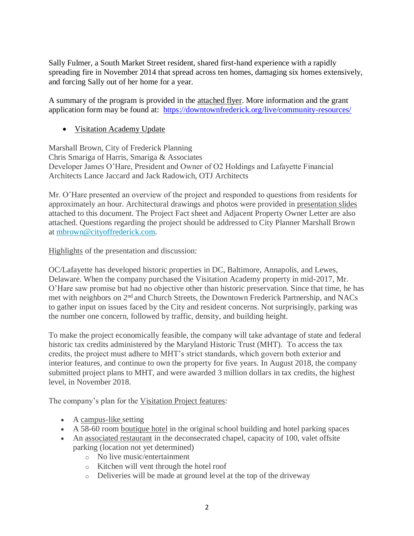Sally Fulmer, a South Market Street resident, shared first-hand experience with a rapidly spreading fire in November 2014 that spread across ten homes, damaging six homes extensively, and forcing Sally out of her home for a year.

A summary of the program is provided in the attached flyer. More information and the grant application form may be found at: <https://downtownfrederick.org/live/community-resources/>

• Visitation Academy Update

Marshall Brown, City of Frederick Planning Chris Smariga of Harris, Smariga & Associates Developer James O'Hare, President and Owner of O2 Holdings and Lafayette Financial Architects Lance Jaccard and Jack Radowich, OTJ Architects

Mr. O'Hare presented an overview of the project and responded to questions from residents for approximately an hour. Architectural drawings and photos were provided in presentation slides attached to this document. The Project Fact sheet and Adjacent Property Owner Letter are also attached. Questions regarding the project should be addressed to City Planner Marshall Brown at [mbrown@cityoffrederick.com.](mailto:mbrown@cityoffrederick.com)

Highlights of the presentation and discussion:

OC/Lafayette has developed historic properties in DC, Baltimore, Annapolis, and Lewes, Delaware. When the company purchased the Visitation Academy property in mid-2017, Mr. O'Hare saw promise but had no objective other than historic preservation. Since that time, he has met with neighbors on 2nd and Church Streets, the Downtown Frederick Partnership, and NACs to gather input on issues faced by the City and resident concerns. Not surprisingly, parking was the number one concern, followed by traffic, density, and building height.

To make the project economically feasible, the company will take advantage of state and federal historic tax credits administered by the Maryland Historic Trust (MHT). To access the tax credits, the project must adhere to MHT's strict standards, which govern both exterior and interior features, and continue to own the property for five years. In August 2018, the company submitted project plans to MHT, and were awarded 3 million dollars in tax credits, the highest level, in November 2018.

The company's plan for the Visitation Project features:

- A campus-like setting
- A 58-60 room boutique hotel in the original school building and hotel parking spaces
- An associated restaurant in the deconsecrated chapel, capacity of 100, valet offsite parking (location not yet determined)
	- o No live music/entertainment
	- o Kitchen will vent through the hotel roof
	- o Deliveries will be made at ground level at the top of the driveway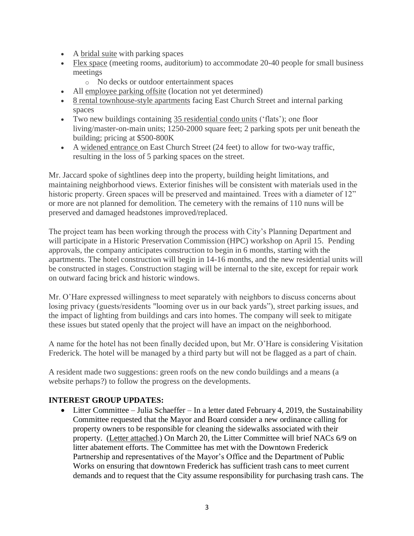- A bridal suite with parking spaces
- Flex space (meeting rooms, auditorium) to accommodate 20-40 people for small business meetings
	- o No decks or outdoor entertainment spaces
- All employee parking offsite (location not yet determined)
- 8 rental townhouse-style apartments facing East Church Street and internal parking spaces
- Two new buildings containing 35 residential condo units ('flats'); one floor living/master-on-main units; 1250-2000 square feet; 2 parking spots per unit beneath the building; pricing at \$500-800K
- A widened entrance on East Church Street (24 feet) to allow for two-way traffic, resulting in the loss of 5 parking spaces on the street.

Mr. Jaccard spoke of sightlines deep into the property, building height limitations, and maintaining neighborhood views. Exterior finishes will be consistent with materials used in the historic property. Green spaces will be preserved and maintained. Trees with a diameter of 12" or more are not planned for demolition. The cemetery with the remains of 110 nuns will be preserved and damaged headstones improved/replaced.

The project team has been working through the process with City's Planning Department and will participate in a Historic Preservation Commission (HPC) workshop on April 15. Pending approvals, the company anticipates construction to begin in 6 months, starting with the apartments. The hotel construction will begin in 14-16 months, and the new residential units will be constructed in stages. Construction staging will be internal to the site, except for repair work on outward facing brick and historic windows.

Mr. O'Hare expressed willingness to meet separately with neighbors to discuss concerns about losing privacy (guests/residents "looming over us in our back yards"), street parking issues, and the impact of lighting from buildings and cars into homes. The company will seek to mitigate these issues but stated openly that the project will have an impact on the neighborhood.

A name for the hotel has not been finally decided upon, but Mr. O'Hare is considering Visitation Frederick. The hotel will be managed by a third party but will not be flagged as a part of chain.

A resident made two suggestions: green roofs on the new condo buildings and a means (a website perhaps?) to follow the progress on the developments.

# **INTEREST GROUP UPDATES:**

• Litter Committee – Julia Schaeffer – In a letter dated February 4, 2019, the Sustainability Committee requested that the Mayor and Board consider a new ordinance calling for property owners to be responsible for cleaning the sidewalks associated with their property. (Letter attached.) On March 20, the Litter Committee will brief NACs 6/9 on litter abatement efforts. The Committee has met with the Downtown Frederick Partnership and representatives of the Mayor's Office and the Department of Public Works on ensuring that downtown Frederick has sufficient trash cans to meet current demands and to request that the City assume responsibility for purchasing trash cans. The